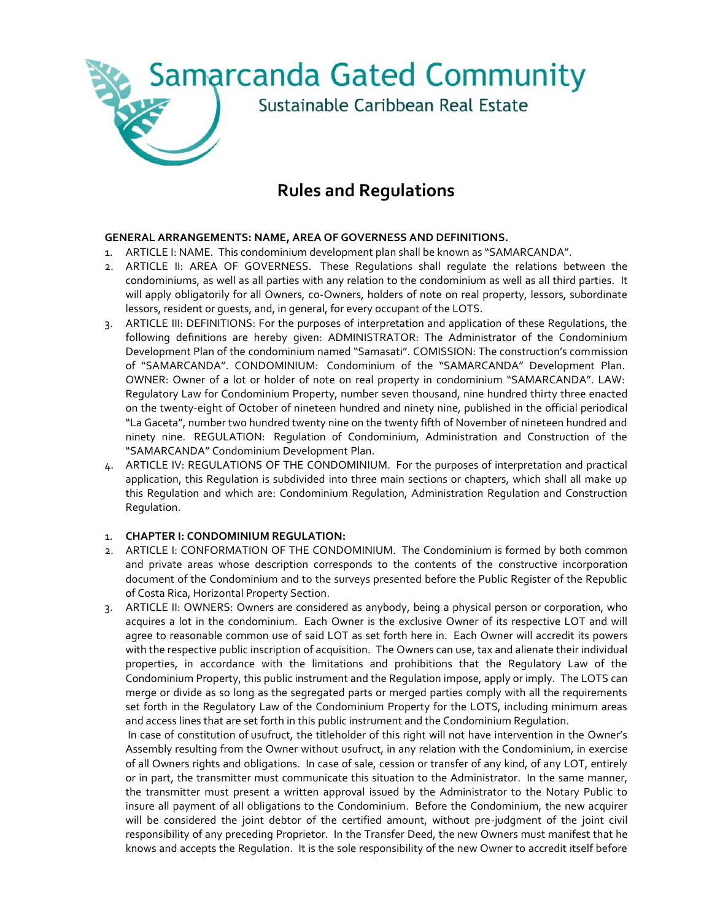

# **Rules and Regulations**

## **GENERAL ARRANGEMENTS: NAME, AREA OF GOVERNESS AND DEFINITIONS.**

- 1. ARTICLE I: NAME. This condominium development plan shall be known as "SAMARCANDA".
- 2. ARTICLE II: AREA OF GOVERNESS. These Regulations shall regulate the relations between the condominiums, as well as all parties with any relation to the condominium as well as all third parties. It will apply obligatorily for all Owners, co-Owners, holders of note on real property, lessors, subordinate lessors, resident or guests, and, in general, for every occupant of the LOTS.
- 3. ARTICLE III: DEFINITIONS: For the purposes of interpretation and application of these Regulations, the following definitions are hereby given: ADMINISTRATOR: The Administrator of the Condominium Development Plan of the condominium named "Samasati". COMISSION: The construction's commission of "SAMARCANDA". CONDOMINIUM: Condominium of the "SAMARCANDA" Development Plan. OWNER: Owner of a lot or holder of note on real property in condominium "SAMARCANDA". LAW: Regulatory Law for Condominium Property, number seven thousand, nine hundred thirty three enacted on the twenty-eight of October of nineteen hundred and ninety nine, published in the official periodical "La Gaceta", number two hundred twenty nine on the twenty fifth of November of nineteen hundred and ninety nine. REGULATION: Regulation of Condominium, Administration and Construction of the "SAMARCANDA" Condominium Development Plan.
- 4. ARTICLE IV: REGULATIONS OF THE CONDOMINIUM. For the purposes of interpretation and practical application, this Regulation is subdivided into three main sections or chapters, which shall all make up this Regulation and which are: Condominium Regulation, Administration Regulation and Construction Regulation.

## 1. **CHAPTER I: CONDOMINIUM REGULATION:**

- 2. ARTICLE I: CONFORMATION OF THE CONDOMINIUM. The Condominium is formed by both common and private areas whose description corresponds to the contents of the constructive incorporation document of the Condominium and to the surveys presented before the Public Register of the Republic of Costa Rica, Horizontal Property Section.
- 3. ARTICLE II: OWNERS: Owners are considered as anybody, being a physical person or corporation, who acquires a lot in the condominium. Each Owner is the exclusive Owner of its respective LOT and will agree to reasonable common use of said LOT as set forth here in. Each Owner will accredit its powers with the respective public inscription of acquisition. The Owners can use, tax and alienate their individual properties, in accordance with the limitations and prohibitions that the Regulatory Law of the Condominium Property, this public instrument and the Regulation impose, apply or imply. The LOTS can merge or divide as so long as the segregated parts or merged parties comply with all the requirements set forth in the Regulatory Law of the Condominium Property for the LOTS, including minimum areas and access lines that are set forth in this public instrument and the Condominium Regulation.

In case of constitution of usufruct, the titleholder of this right will not have intervention in the Owner's Assembly resulting from the Owner without usufruct, in any relation with the Condominium, in exercise of all Owners rights and obligations. In case of sale, cession or transfer of any kind, of any LOT, entirely or in part, the transmitter must communicate this situation to the Administrator. In the same manner, the transmitter must present a written approval issued by the Administrator to the Notary Public to insure all payment of all obligations to the Condominium. Before the Condominium, the new acquirer will be considered the joint debtor of the certified amount, without pre-judgment of the joint civil responsibility of any preceding Proprietor. In the Transfer Deed, the new Owners must manifest that he knows and accepts the Regulation. It is the sole responsibility of the new Owner to accredit itself before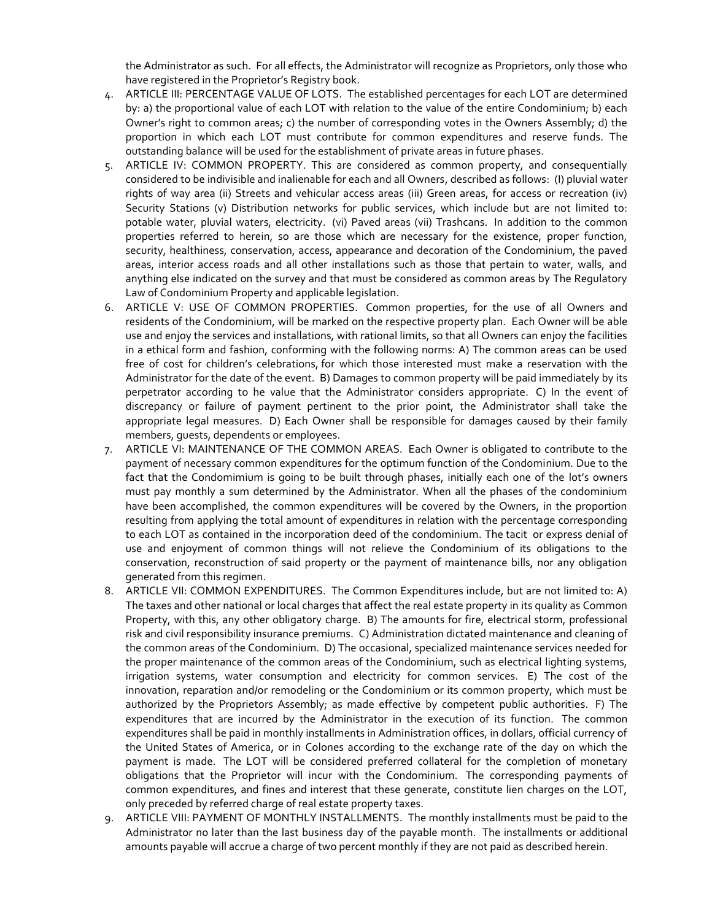the Administrator as such. For all effects, the Administrator will recognize as Proprietors, only those who have registered in the Proprietor's Registry book.

- 4. ARTICLE III: PERCENTAGE VALUE OF LOTS. The established percentages for each LOT are determined by: a) the proportional value of each LOT with relation to the value of the entire Condominium; b) each Owner's right to common areas; c) the number of corresponding votes in the Owners Assembly; d) the proportion in which each LOT must contribute for common expenditures and reserve funds. The outstanding balance will be used for the establishment of private areas in future phases.
- 5. ARTICLE IV: COMMON PROPERTY. This are considered as common property, and consequentially considered to be indivisible and inalienable for each and all Owners, described as follows: (I) pluvial water rights of way area (ii) Streets and vehicular access areas (iii) Green areas, for access or recreation (iv) Security Stations (v) Distribution networks for public services, which include but are not limited to: potable water, pluvial waters, electricity. (vi) Paved areas (vii) Trashcans. In addition to the common properties referred to herein, so are those which are necessary for the existence, proper function, security, healthiness, conservation, access, appearance and decoration of the Condominium, the paved areas, interior access roads and all other installations such as those that pertain to water, walls, and anything else indicated on the survey and that must be considered as common areas by The Regulatory Law of Condominium Property and applicable legislation.
- 6. ARTICLE V: USE OF COMMON PROPERTIES. Common properties, for the use of all Owners and residents of the Condominium, will be marked on the respective property plan. Each Owner will be able use and enjoy the services and installations, with rational limits, so that all Owners can enjoy the facilities in a ethical form and fashion, conforming with the following norms: A) The common areas can be used free of cost for children's celebrations, for which those interested must make a reservation with the Administrator for the date of the event. B) Damages to common property will be paid immediately by its perpetrator according to he value that the Administrator considers appropriate. C) In the event of discrepancy or failure of payment pertinent to the prior point, the Administrator shall take the appropriate legal measures. D) Each Owner shall be responsible for damages caused by their family members, guests, dependents or employees.
- 7. ARTICLE VI: MAINTENANCE OF THE COMMON AREAS. Each Owner is obligated to contribute to the payment of necessary common expenditures for the optimum function of the Condominium. Due to the fact that the Condomimium is going to be built through phases, initially each one of the lot's owners must pay monthly a sum determined by the Administrator. When all the phases of the condominium have been accomplished, the common expenditures will be covered by the Owners, in the proportion resulting from applying the total amount of expenditures in relation with the percentage corresponding to each LOT as contained in the incorporation deed of the condominium. The tacit or express denial of use and enjoyment of common things will not relieve the Condominium of its obligations to the conservation, reconstruction of said property or the payment of maintenance bills, nor any obligation generated from this regimen.
- 8. ARTICLE VII: COMMON EXPENDITURES. The Common Expenditures include, but are not limited to: A) The taxes and other national or local charges that affect the real estate property in its quality as Common Property, with this, any other obligatory charge. B) The amounts for fire, electrical storm, professional risk and civil responsibility insurance premiums. C) Administration dictated maintenance and cleaning of the common areas of the Condominium. D) The occasional, specialized maintenance services needed for the proper maintenance of the common areas of the Condominium, such as electrical lighting systems, irrigation systems, water consumption and electricity for common services. E) The cost of the innovation, reparation and/or remodeling or the Condominium or its common property, which must be authorized by the Proprietors Assembly; as made effective by competent public authorities. F) The expenditures that are incurred by the Administrator in the execution of its function. The common expenditures shall be paid in monthly installments in Administration offices, in dollars, official currency of the United States of America, or in Colones according to the exchange rate of the day on which the payment is made. The LOT will be considered preferred collateral for the completion of monetary obligations that the Proprietor will incur with the Condominium. The corresponding payments of common expenditures, and fines and interest that these generate, constitute lien charges on the LOT, only preceded by referred charge of real estate property taxes.
- 9. ARTICLE VIII: PAYMENT OF MONTHLY INSTALLMENTS. The monthly installments must be paid to the Administrator no later than the last business day of the payable month. The installments or additional amounts payable will accrue a charge of two percent monthly if they are not paid as described herein.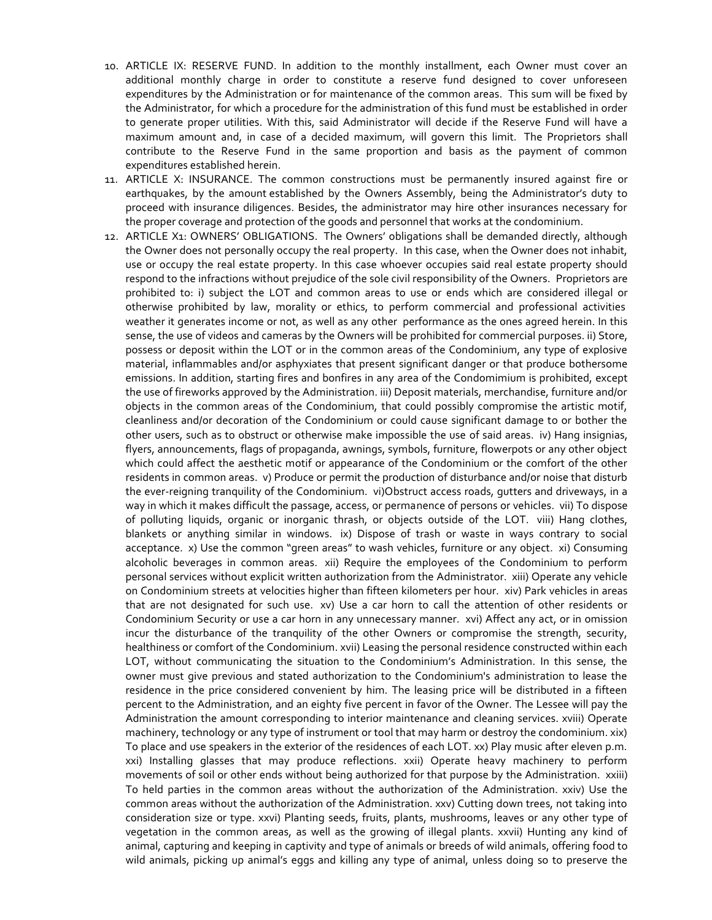- 10. ARTICLE IX: RESERVE FUND. In addition to the monthly installment, each Owner must cover an additional monthly charge in order to constitute a reserve fund designed to cover unforeseen expenditures by the Administration or for maintenance of the common areas. This sum will be fixed by the Administrator, for which a procedure for the administration of this fund must be established in order to generate proper utilities. With this, said Administrator will decide if the Reserve Fund will have a maximum amount and, in case of a decided maximum, will govern this limit. The Proprietors shall contribute to the Reserve Fund in the same proportion and basis as the payment of common expenditures established herein.
- 11. ARTICLE X: INSURANCE. The common constructions must be permanently insured against fire or earthquakes, by the amount established by the Owners Assembly, being the Administrator's duty to proceed with insurance diligences. Besides, the administrator may hire other insurances necessary for the proper coverage and protection of the goods and personnel that works at the condominium.
- 12. ARTICLE X1: OWNERS' OBLIGATIONS. The Owners' obligations shall be demanded directly, although the Owner does not personally occupy the real property. In this case, when the Owner does not inhabit, use or occupy the real estate property. In this case whoever occupies said real estate property should respond to the infractions without prejudice of the sole civil responsibility of the Owners. Proprietors are prohibited to: i) subject the LOT and common areas to use or ends which are considered illegal or otherwise prohibited by law, morality or ethics, to perform commercial and professional activities weather it generates income or not, as well as any other performance as the ones agreed herein. In this sense, the use of videos and cameras by the Owners will be prohibited for commercial purposes. ii) Store, possess or deposit within the LOT or in the common areas of the Condominium, any type of explosive material, inflammables and/or asphyxiates that present significant danger or that produce bothersome emissions. In addition, starting fires and bonfires in any area of the Condomimium is prohibited, except the use of fireworks approved by the Administration. iii) Deposit materials, merchandise, furniture and/or objects in the common areas of the Condominium, that could possibly compromise the artistic motif, cleanliness and/or decoration of the Condominium or could cause significant damage to or bother the other users, such as to obstruct or otherwise make impossible the use of said areas. iv) Hang insignias, flyers, announcements, flags of propaganda, awnings, symbols, furniture, flowerpots or any other object which could affect the aesthetic motif or appearance of the Condominium or the comfort of the other residents in common areas. v) Produce or permit the production of disturbance and/or noise that disturb the ever-reigning tranquility of the Condominium. vi)Obstruct access roads, gutters and driveways, in a way in which it makes difficult the passage, access, or permanence of persons or vehicles. vii) To dispose of polluting liquids, organic or inorganic thrash, or objects outside of the LOT. viii) Hang clothes, blankets or anything similar in windows. ix) Dispose of trash or waste in ways contrary to social acceptance. x) Use the common "green areas" to wash vehicles, furniture or any object. xi) Consuming alcoholic beverages in common areas. xii) Require the employees of the Condominium to perform personal services without explicit written authorization from the Administrator. xiii) Operate any vehicle on Condominium streets at velocities higher than fifteen kilometers per hour. xiv) Park vehicles in areas that are not designated for such use. xv) Use a car horn to call the attention of other residents or Condominium Security or use a car horn in any unnecessary manner. xvi) Affect any act, or in omission incur the disturbance of the tranquility of the other Owners or compromise the strength, security, healthiness or comfort of the Condominium. xvii) Leasing the personal residence constructed within each LOT, without communicating the situation to the Condominium's Administration. In this sense, the owner must give previous and stated authorization to the Condominium's administration to lease the residence in the price considered convenient by him. The leasing price will be distributed in a fifteen percent to the Administration, and an eighty five percent in favor of the Owner. The Lessee will pay the Administration the amount corresponding to interior maintenance and cleaning services. xviii) Operate machinery, technology or any type of instrument or tool that may harm or destroy the condominium. xix) To place and use speakers in the exterior of the residences of each LOT. xx) Play music after eleven p.m. xxi) Installing glasses that may produce reflections. xxii) Operate heavy machinery to perform movements of soil or other ends without being authorized for that purpose by the Administration. xxiii) To held parties in the common areas without the authorization of the Administration. xxiv) Use the common areas without the authorization of the Administration. xxv) Cutting down trees, not taking into consideration size or type. xxvi) Planting seeds, fruits, plants, mushrooms, leaves or any other type of vegetation in the common areas, as well as the growing of illegal plants. xxvii) Hunting any kind of animal, capturing and keeping in captivity and type of animals or breeds of wild animals, offering food to wild animals, picking up animal's eggs and killing any type of animal, unless doing so to preserve the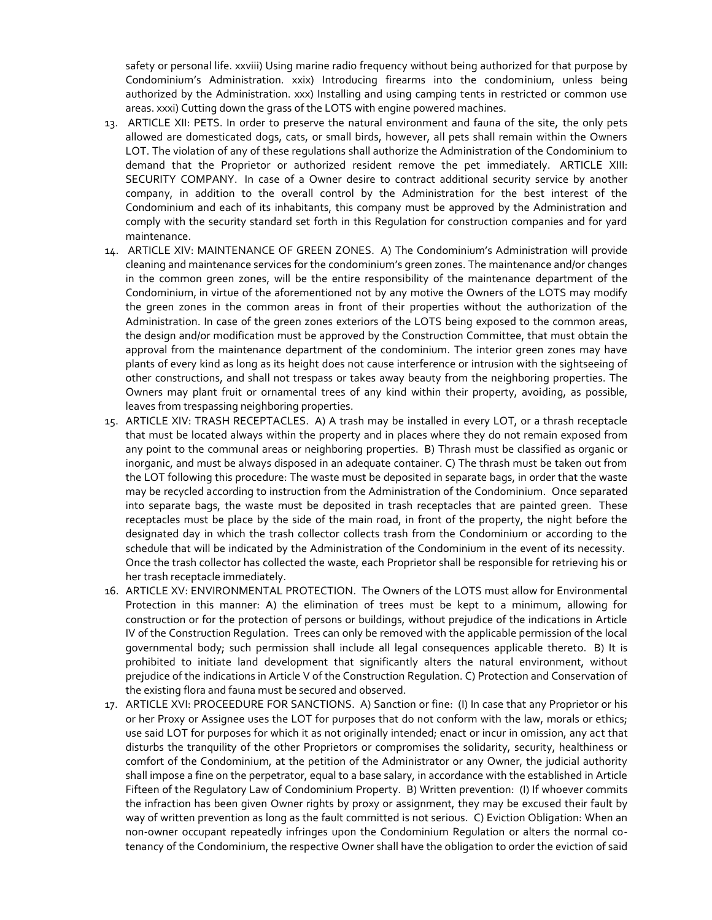safety or personal life. xxviii) Using marine radio frequency without being authorized for that purpose by Condominium's Administration. xxix) Introducing firearms into the condominium, unless being authorized by the Administration. xxx) Installing and using camping tents in restricted or common use areas. xxxi) Cutting down the grass of the LOTS with engine powered machines.

- 13. ARTICLE XII: PETS. In order to preserve the natural environment and fauna of the site, the only pets allowed are domesticated dogs, cats, or small birds, however, all pets shall remain within the Owners LOT. The violation of any of these regulations shall authorize the Administration of the Condominium to demand that the Proprietor or authorized resident remove the pet immediately. ARTICLE XIII: SECURITY COMPANY. In case of a Owner desire to contract additional security service by another company, in addition to the overall control by the Administration for the best interest of the Condominium and each of its inhabitants, this company must be approved by the Administration and comply with the security standard set forth in this Regulation for construction companies and for yard maintenance.
- 14. ARTICLE XIV: MAINTENANCE OF GREEN ZONES. A) The Condominium's Administration will provide cleaning and maintenance services for the condominium's green zones. The maintenance and/or changes in the common green zones, will be the entire responsibility of the maintenance department of the Condominium, in virtue of the aforementioned not by any motive the Owners of the LOTS may modify the green zones in the common areas in front of their properties without the authorization of the Administration. In case of the green zones exteriors of the LOTS being exposed to the common areas, the design and/or modification must be approved by the Construction Committee, that must obtain the approval from the maintenance department of the condominium. The interior green zones may have plants of every kind as long as its height does not cause interference or intrusion with the sightseeing of other constructions, and shall not trespass or takes away beauty from the neighboring properties. The Owners may plant fruit or ornamental trees of any kind within their property, avoiding, as possible, leaves from trespassing neighboring properties.
- 15. ARTICLE XIV: TRASH RECEPTACLES. A) A trash may be installed in every LOT, or a thrash receptacle that must be located always within the property and in places where they do not remain exposed from any point to the communal areas or neighboring properties. B) Thrash must be classified as organic or inorganic, and must be always disposed in an adequate container. C) The thrash must be taken out from the LOT following this procedure: The waste must be deposited in separate bags, in order that the waste may be recycled according to instruction from the Administration of the Condominium. Once separated into separate bags, the waste must be deposited in trash receptacles that are painted green. These receptacles must be place by the side of the main road, in front of the property, the night before the designated day in which the trash collector collects trash from the Condominium or according to the schedule that will be indicated by the Administration of the Condominium in the event of its necessity. Once the trash collector has collected the waste, each Proprietor shall be responsible for retrieving his or her trash receptacle immediately.
- 16. ARTICLE XV: ENVIRONMENTAL PROTECTION. The Owners of the LOTS must allow for Environmental Protection in this manner: A) the elimination of trees must be kept to a minimum, allowing for construction or for the protection of persons or buildings, without prejudice of the indications in Article IV of the Construction Regulation. Trees can only be removed with the applicable permission of the local governmental body; such permission shall include all legal consequences applicable thereto. B) It is prohibited to initiate land development that significantly alters the natural environment, without prejudice of the indications in Article V of the Construction Regulation. C) Protection and Conservation of the existing flora and fauna must be secured and observed.
- 17. ARTICLE XVI: PROCEEDURE FOR SANCTIONS. A) Sanction or fine: (I) In case that any Proprietor or his or her Proxy or Assignee uses the LOT for purposes that do not conform with the law, morals or ethics; use said LOT for purposes for which it as not originally intended; enact or incur in omission, any act that disturbs the tranquility of the other Proprietors or compromises the solidarity, security, healthiness or comfort of the Condominium, at the petition of the Administrator or any Owner, the judicial authority shall impose a fine on the perpetrator, equal to a base salary, in accordance with the established in Article Fifteen of the Regulatory Law of Condominium Property. B) Written prevention: (I) If whoever commits the infraction has been given Owner rights by proxy or assignment, they may be excused their fault by way of written prevention as long as the fault committed is not serious. C) Eviction Obligation: When an non-owner occupant repeatedly infringes upon the Condominium Regulation or alters the normal cotenancy of the Condominium, the respective Owner shall have the obligation to order the eviction of said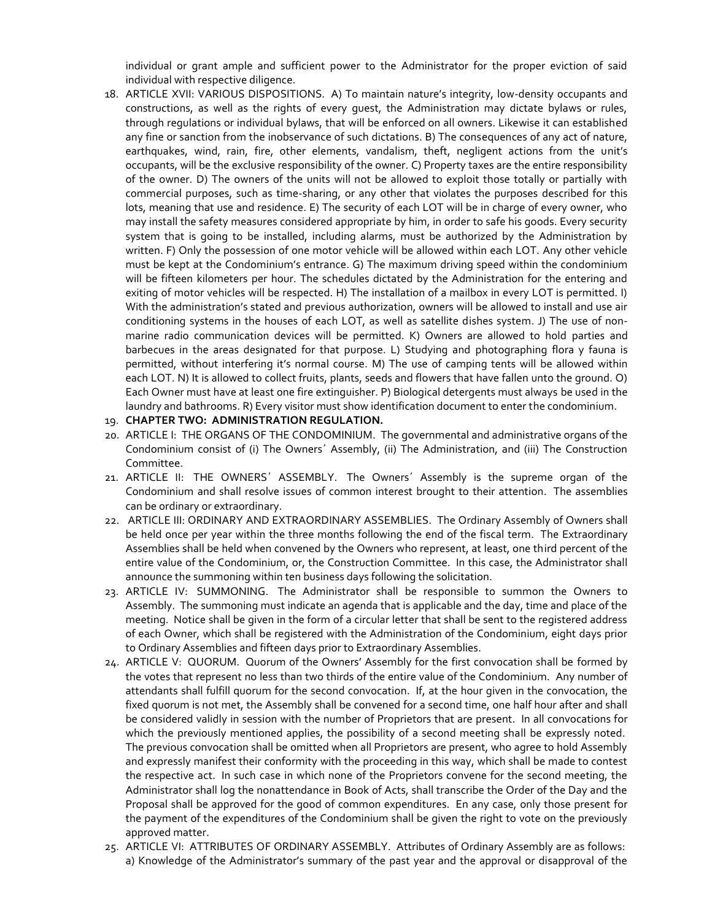individual or grant ample and sufficient power to the Administrator for the proper eviction of said individual with respective diligence.

18. ARTICLE XVII: VARIOUS DISPOSITIONS. A) To maintain nature's integrity, low-density occupants and constructions, as well as the rights of every guest, the Administration may dictate bylaws or rules, through regulations or individual bylaws, that will be enforced on all owners. Likewise it can established any fine or sanction from the inobservance of such dictations. B) The consequences of any act of nature, earthquakes, wind, rain, fire, other elements, vandalism, theft, negligent actions from the unit's occupants, will be the exclusive responsibility of the owner. C) Property taxes are the entire responsibility of the owner. D) The owners of the units will not be allowed to exploit those totally or partially with commercial purposes, such as time-sharing, or any other that violates the purposes described for this lots, meaning that use and residence. E) The security of each LOT will be in charge of every owner, who may install the safety measures considered appropriate by him, in order to safe his goods. Every security system that is going to be installed, including alarms, must be authorized by the Administration by written. F) Only the possession of one motor vehicle will be allowed within each LOT. Any other vehicle must be kept at the Condominium's entrance. G) The maximum driving speed within the condominium will be fifteen kilometers per hour. The schedules dictated by the Administration for the entering and exiting of motor vehicles will be respected. H) The installation of a mailbox in every LOT is permitted. I) With the administration's stated and previous authorization, owners will be allowed to install and use air conditioning systems in the houses of each LOT, as well as satellite dishes system. J) The use of nonmarine radio communication devices will be permitted. K) Owners are allowed to hold parties and barbecues in the areas designated for that purpose. L) Studying and photographing flora y fauna is permitted, without interfering it's normal course. M) The use of camping tents will be allowed within each LOT. N) It is allowed to collect fruits, plants, seeds and flowers that have fallen unto the ground. O) Each Owner must have at least one fire extinguisher. P) Biological detergents must always be used in the laundry and bathrooms. R) Every visitor must show identification document to enter the condominium.

#### 19. **CHAPTER TWO: ADMINISTRATION REGULATION.**

- 20. ARTICLE I: THE ORGANS OF THE CONDOMINIUM. The governmental and administrative organs of the Condominium consist of (i) The Owners´ Assembly, (ii) The Administration, and (iii) The Construction Committee.
- 21. ARTICLE II: THE OWNERS´ ASSEMBLY. The Owners´ Assembly is the supreme organ of the Condominium and shall resolve issues of common interest brought to their attention. The assemblies can be ordinary or extraordinary.
- 22. ARTICLE III: ORDINARY AND EXTRAORDINARY ASSEMBLIES. The Ordinary Assembly of Owners shall be held once per year within the three months following the end of the fiscal term. The Extraordinary Assemblies shall be held when convened by the Owners who represent, at least, one third percent of the entire value of the Condominium, or, the Construction Committee. In this case, the Administrator shall announce the summoning within ten business days following the solicitation.
- 23. ARTICLE IV: SUMMONING. The Administrator shall be responsible to summon the Owners to Assembly. The summoning must indicate an agenda that is applicable and the day, time and place of the meeting. Notice shall be given in the form of a circular letter that shall be sent to the registered address of each Owner, which shall be registered with the Administration of the Condominium, eight days prior to Ordinary Assemblies and fifteen days prior to Extraordinary Assemblies.
- 24. ARTICLE V: QUORUM. Quorum of the Owners' Assembly for the first convocation shall be formed by the votes that represent no less than two thirds of the entire value of the Condominium. Any number of attendants shall fulfill quorum for the second convocation. If, at the hour given in the convocation, the fixed quorum is not met, the Assembly shall be convened for a second time, one half hour after and shall be considered validly in session with the number of Proprietors that are present. In all convocations for which the previously mentioned applies, the possibility of a second meeting shall be expressly noted. The previous convocation shall be omitted when all Proprietors are present, who agree to hold Assembly and expressly manifest their conformity with the proceeding in this way, which shall be made to contest the respective act. In such case in which none of the Proprietors convene for the second meeting, the Administrator shall log the nonattendance in Book of Acts, shall transcribe the Order of the Day and the Proposal shall be approved for the good of common expenditures. En any case, only those present for the payment of the expenditures of the Condominium shall be given the right to vote on the previously approved matter.
- 25. ARTICLE VI: ATTRIBUTES OF ORDINARY ASSEMBLY. Attributes of Ordinary Assembly are as follows: a) Knowledge of the Administrator's summary of the past year and the approval or disapproval of the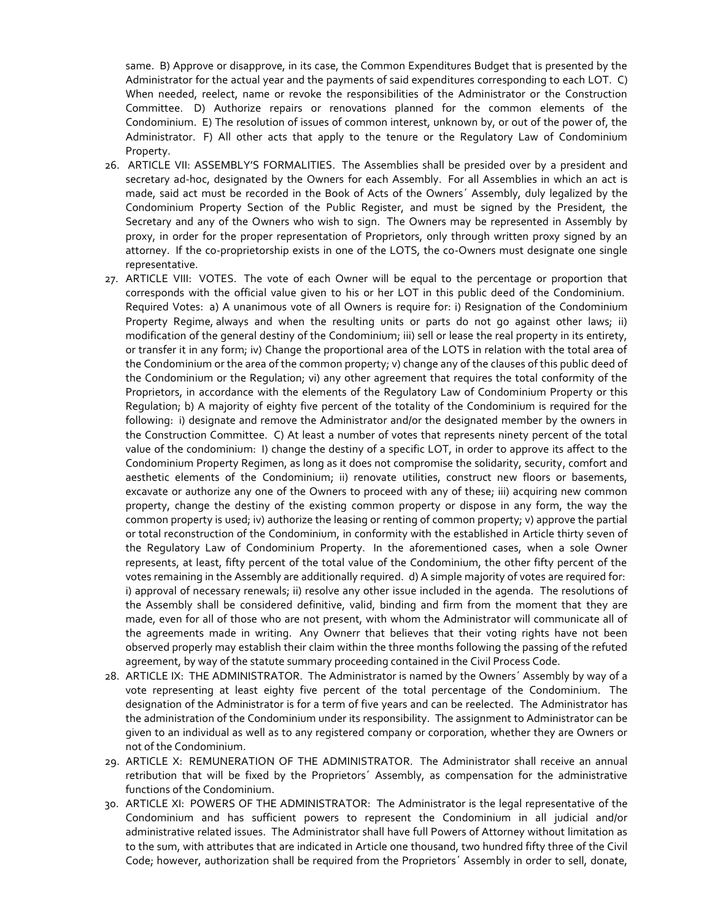same. B) Approve or disapprove, in its case, the Common Expenditures Budget that is presented by the Administrator for the actual year and the payments of said expenditures corresponding to each LOT. C) When needed, reelect, name or revoke the responsibilities of the Administrator or the Construction Committee. D) Authorize repairs or renovations planned for the common elements of the Condominium. E) The resolution of issues of common interest, unknown by, or out of the power of, the Administrator. F) All other acts that apply to the tenure or the Regulatory Law of Condominium Property.

- 26. ARTICLE VII: ASSEMBLY'S FORMALITIES. The Assemblies shall be presided over by a president and secretary ad-hoc, designated by the Owners for each Assembly. For all Assemblies in which an act is made, said act must be recorded in the Book of Acts of the Owners´ Assembly, duly legalized by the Condominium Property Section of the Public Register, and must be signed by the President, the Secretary and any of the Owners who wish to sign. The Owners may be represented in Assembly by proxy, in order for the proper representation of Proprietors, only through written proxy signed by an attorney. If the co-proprietorship exists in one of the LOTS, the co-Owners must designate one single representative.
- 27. ARTICLE VIII: VOTES. The vote of each Owner will be equal to the percentage or proportion that corresponds with the official value given to his or her LOT in this public deed of the Condominium. Required Votes: a) A unanimous vote of all Owners is require for: i) Resignation of the Condominium Property Regime, always and when the resulting units or parts do not go against other laws; ii) modification of the general destiny of the Condominium; iii) sell or lease the real property in its entirety, or transfer it in any form; iv) Change the proportional area of the LOTS in relation with the total area of the Condominium or the area of the common property; v) change any of the clauses of this public deed of the Condominium or the Regulation; vi) any other agreement that requires the total conformity of the Proprietors, in accordance with the elements of the Regulatory Law of Condominium Property or this Regulation; b) A majority of eighty five percent of the totality of the Condominium is required for the following: i) designate and remove the Administrator and/or the designated member by the owners in the Construction Committee. C) At least a number of votes that represents ninety percent of the total value of the condominium: I) change the destiny of a specific LOT, in order to approve its affect to the Condominium Property Regimen, as long as it does not compromise the solidarity, security, comfort and aesthetic elements of the Condominium; ii) renovate utilities, construct new floors or basements, excavate or authorize any one of the Owners to proceed with any of these; iii) acquiring new common property, change the destiny of the existing common property or dispose in any form, the way the common property is used; iv) authorize the leasing or renting of common property; v) approve the partial or total reconstruction of the Condominium, in conformity with the established in Article thirty seven of the Regulatory Law of Condominium Property. In the aforementioned cases, when a sole Owner represents, at least, fifty percent of the total value of the Condominium, the other fifty percent of the votes remaining in the Assembly are additionally required. d) A simple majority of votes are required for: i) approval of necessary renewals; ii) resolve any other issue included in the agenda. The resolutions of the Assembly shall be considered definitive, valid, binding and firm from the moment that they are made, even for all of those who are not present, with whom the Administrator will communicate all of the agreements made in writing. Any Ownerr that believes that their voting rights have not been observed properly may establish their claim within the three months following the passing of the refuted agreement, by way of the statute summary proceeding contained in the Civil Process Code.
- 28. ARTICLE IX: THE ADMINISTRATOR. The Administrator is named by the Owners´ Assembly by way of a vote representing at least eighty five percent of the total percentage of the Condominium. The designation of the Administrator is for a term of five years and can be reelected. The Administrator has the administration of the Condominium under its responsibility. The assignment to Administrator can be given to an individual as well as to any registered company or corporation, whether they are Owners or not of the Condominium.
- 29. ARTICLE X: REMUNERATION OF THE ADMINISTRATOR. The Administrator shall receive an annual retribution that will be fixed by the Proprietors´ Assembly, as compensation for the administrative functions of the Condominium.
- 30. ARTICLE XI: POWERS OF THE ADMINISTRATOR: The Administrator is the legal representative of the Condominium and has sufficient powers to represent the Condominium in all judicial and/or administrative related issues. The Administrator shall have full Powers of Attorney without limitation as to the sum, with attributes that are indicated in Article one thousand, two hundred fifty three of the Civil Code; however, authorization shall be required from the Proprietors´ Assembly in order to sell, donate,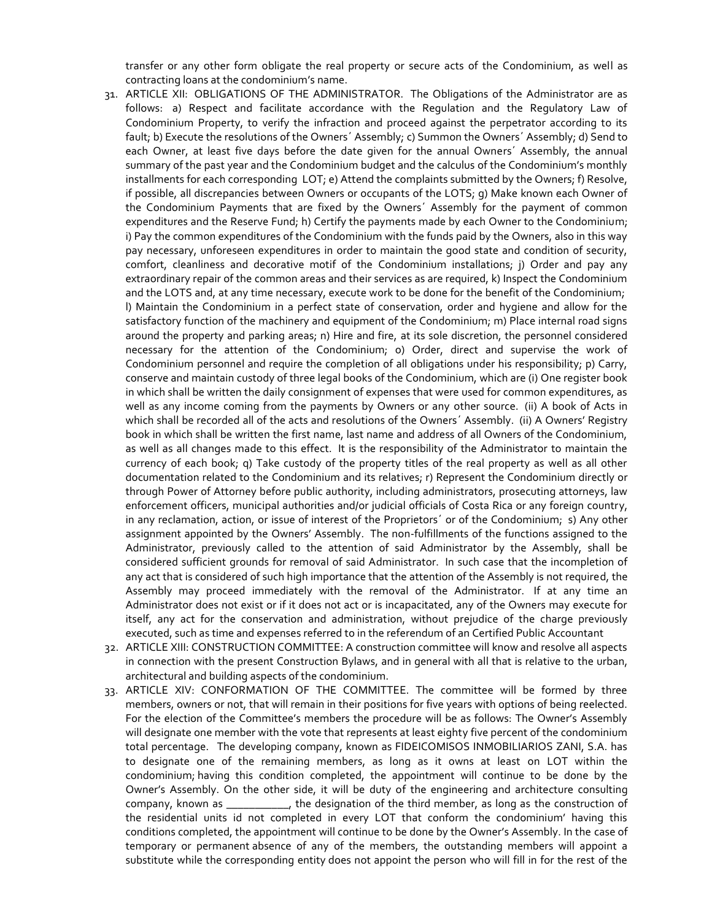transfer or any other form obligate the real property or secure acts of the Condominium, as well as contracting loans at the condominium's name.

- 31. ARTICLE XII: OBLIGATIONS OF THE ADMINISTRATOR. The Obligations of the Administrator are as follows: a) Respect and facilitate accordance with the Regulation and the Regulatory Law of Condominium Property, to verify the infraction and proceed against the perpetrator according to its fault; b) Execute the resolutions of the Owners´ Assembly; c) Summon the Owners´ Assembly; d) Send to each Owner, at least five days before the date given for the annual Owners´ Assembly, the annual summary of the past year and the Condominium budget and the calculus of the Condominium's monthly installments for each corresponding LOT; e) Attend the complaints submitted by the Owners; f) Resolve, if possible, all discrepancies between Owners or occupants of the LOTS; g) Make known each Owner of the Condominium Payments that are fixed by the Owners´ Assembly for the payment of common expenditures and the Reserve Fund; h) Certify the payments made by each Owner to the Condominium; i) Pay the common expenditures of the Condominium with the funds paid by the Owners, also in this way pay necessary, unforeseen expenditures in order to maintain the good state and condition of security, comfort, cleanliness and decorative motif of the Condominium installations; j) Order and pay any extraordinary repair of the common areas and their services as are required, k) Inspect the Condominium and the LOTS and, at any time necessary, execute work to be done for the benefit of the Condominium; l) Maintain the Condominium in a perfect state of conservation, order and hygiene and allow for the satisfactory function of the machinery and equipment of the Condominium; m) Place internal road signs around the property and parking areas; n) Hire and fire, at its sole discretion, the personnel considered necessary for the attention of the Condominium; o) Order, direct and supervise the work of Condominium personnel and require the completion of all obligations under his responsibility; p) Carry, conserve and maintain custody of three legal books of the Condominium, which are (i) One register book in which shall be written the daily consignment of expenses that were used for common expenditures, as well as any income coming from the payments by Owners or any other source. (ii) A book of Acts in which shall be recorded all of the acts and resolutions of the Owners´ Assembly. (ii) A Owners' Registry book in which shall be written the first name, last name and address of all Owners of the Condominium, as well as all changes made to this effect. It is the responsibility of the Administrator to maintain the currency of each book; q) Take custody of the property titles of the real property as well as all other documentation related to the Condominium and its relatives; r) Represent the Condominium directly or through Power of Attorney before public authority, including administrators, prosecuting attorneys, law enforcement officers, municipal authorities and/or judicial officials of Costa Rica or any foreign country, in any reclamation, action, or issue of interest of the Proprietors´ or of the Condominium; s) Any other assignment appointed by the Owners' Assembly. The non-fulfillments of the functions assigned to the Administrator, previously called to the attention of said Administrator by the Assembly, shall be considered sufficient grounds for removal of said Administrator. In such case that the incompletion of any act that is considered of such high importance that the attention of the Assembly is not required, the Assembly may proceed immediately with the removal of the Administrator. If at any time an Administrator does not exist or if it does not act or is incapacitated, any of the Owners may execute for itself, any act for the conservation and administration, without prejudice of the charge previously executed, such as time and expenses referred to in the referendum of an Certified Public Accountant
- 32. ARTICLE XIII: CONSTRUCTION COMMITTEE: A construction committee will know and resolve all aspects in connection with the present Construction Bylaws, and in general with all that is relative to the urban, architectural and building aspects of the condominium.
- 33. ARTICLE XIV: CONFORMATION OF THE COMMITTEE. The committee will be formed by three members, owners or not, that will remain in their positions for five years with options of being reelected. For the election of the Committee's members the procedure will be as follows: The Owner's Assembly will designate one member with the vote that represents at least eighty five percent of the condominium total percentage. The developing company, known as FIDEICOMISOS INMOBILIARIOS ZANI, S.A. has to designate one of the remaining members, as long as it owns at least on LOT within the condominium; having this condition completed, the appointment will continue to be done by the Owner's Assembly. On the other side, it will be duty of the engineering and architecture consulting company, known as \_\_\_\_\_\_\_\_\_\_\_, the designation of the third member, as long as the construction of the residential units id not completed in every LOT that conform the condominium' having this conditions completed, the appointment will continue to be done by the Owner's Assembly. In the case of temporary or permanent absence of any of the members, the outstanding members will appoint a substitute while the corresponding entity does not appoint the person who will fill in for the rest of the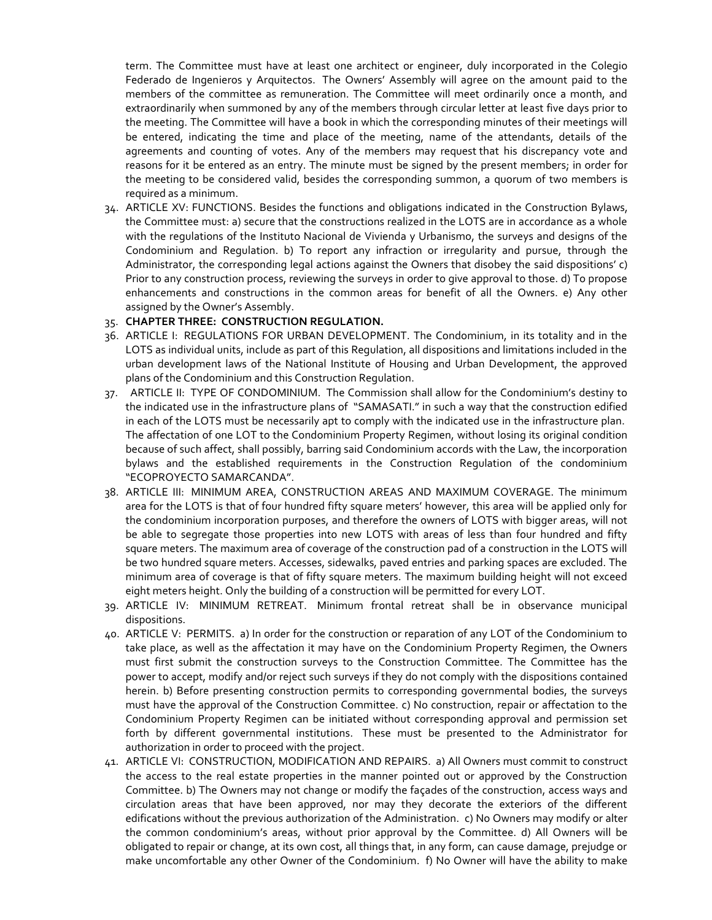term. The Committee must have at least one architect or engineer, duly incorporated in the Colegio Federado de Ingenieros y Arquitectos. The Owners' Assembly will agree on the amount paid to the members of the committee as remuneration. The Committee will meet ordinarily once a month, and extraordinarily when summoned by any of the members through circular letter at least five days prior to the meeting. The Committee will have a book in which the corresponding minutes of their meetings will be entered, indicating the time and place of the meeting, name of the attendants, details of the agreements and counting of votes. Any of the members may request that his discrepancy vote and reasons for it be entered as an entry. The minute must be signed by the present members; in order for the meeting to be considered valid, besides the corresponding summon, a quorum of two members is required as a minimum.

34. ARTICLE XV: FUNCTIONS. Besides the functions and obligations indicated in the Construction Bylaws, the Committee must: a) secure that the constructions realized in the LOTS are in accordance as a whole with the regulations of the Instituto Nacional de Vivienda y Urbanismo, the surveys and designs of the Condominium and Regulation. b) To report any infraction or irregularity and pursue, through the Administrator, the corresponding legal actions against the Owners that disobey the said dispositions' c) Prior to any construction process, reviewing the surveys in order to give approval to those. d) To propose enhancements and constructions in the common areas for benefit of all the Owners. e) Any other assigned by the Owner's Assembly.

#### 35. **CHAPTER THREE: CONSTRUCTION REGULATION.**

- 36. ARTICLE I: REGULATIONS FOR URBAN DEVELOPMENT. The Condominium, in its totality and in the LOTS as individual units, include as part of this Regulation, all dispositions and limitations included in the urban development laws of the National Institute of Housing and Urban Development, the approved plans of the Condominium and this Construction Regulation.
- 37. ARTICLE II: TYPE OF CONDOMINIUM. The Commission shall allow for the Condominium's destiny to the indicated use in the infrastructure plans of "SAMASATI." in such a way that the construction edified in each of the LOTS must be necessarily apt to comply with the indicated use in the infrastructure plan. The affectation of one LOT to the Condominium Property Regimen, without losing its original condition because of such affect, shall possibly, barring said Condominium accords with the Law, the incorporation bylaws and the established requirements in the Construction Regulation of the condominium "ECOPROYECTO SAMARCANDA".
- 38. ARTICLE III: MINIMUM AREA, CONSTRUCTION AREAS AND MAXIMUM COVERAGE. The minimum area for the LOTS is that of four hundred fifty square meters' however, this area will be applied only for the condominium incorporation purposes, and therefore the owners of LOTS with bigger areas, will not be able to segregate those properties into new LOTS with areas of less than four hundred and fifty square meters. The maximum area of coverage of the construction pad of a construction in the LOTS will be two hundred square meters. Accesses, sidewalks, paved entries and parking spaces are excluded. The minimum area of coverage is that of fifty square meters. The maximum building height will not exceed eight meters height. Only the building of a construction will be permitted for every LOT.
- 39. ARTICLE IV: MINIMUM RETREAT. Minimum frontal retreat shall be in observance municipal dispositions.
- 40. ARTICLE V: PERMITS. a) In order for the construction or reparation of any LOT of the Condominium to take place, as well as the affectation it may have on the Condominium Property Regimen, the Owners must first submit the construction surveys to the Construction Committee. The Committee has the power to accept, modify and/or reject such surveys if they do not comply with the dispositions contained herein. b) Before presenting construction permits to corresponding governmental bodies, the surveys must have the approval of the Construction Committee. c) No construction, repair or affectation to the Condominium Property Regimen can be initiated without corresponding approval and permission set forth by different governmental institutions. These must be presented to the Administrator for authorization in order to proceed with the project.
- 41. ARTICLE VI: CONSTRUCTION, MODIFICATION AND REPAIRS. a) All Owners must commit to construct the access to the real estate properties in the manner pointed out or approved by the Construction Committee. b) The Owners may not change or modify the façades of the construction, access ways and circulation areas that have been approved, nor may they decorate the exteriors of the different edifications without the previous authorization of the Administration. c) No Owners may modify or alter the common condominium's areas, without prior approval by the Committee. d) All Owners will be obligated to repair or change, at its own cost, all things that, in any form, can cause damage, prejudge or make uncomfortable any other Owner of the Condominium. f) No Owner will have the ability to make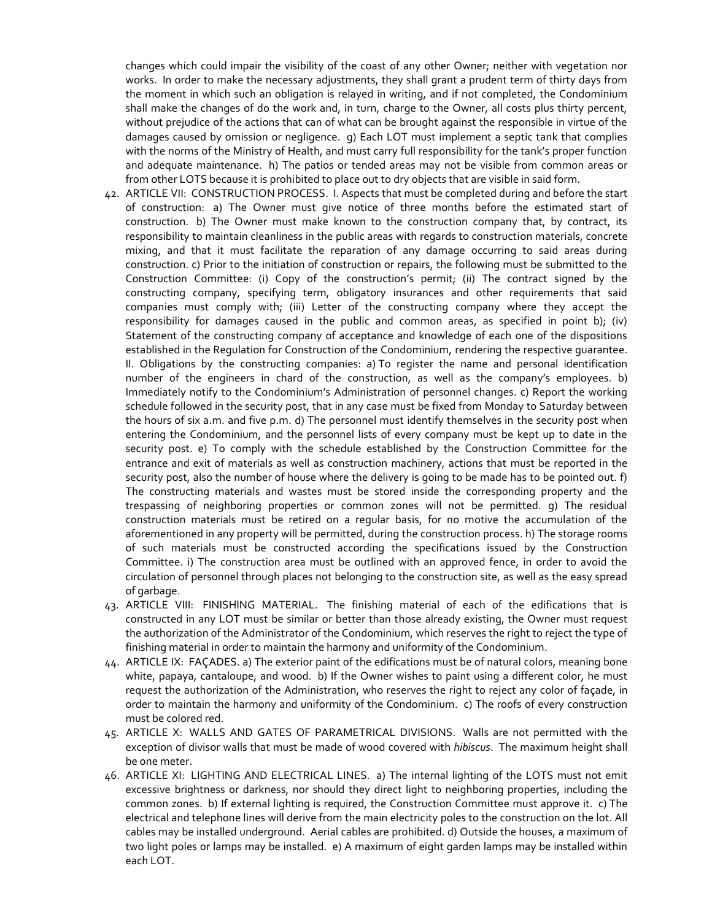changes which could impair the visibility of the coast of any other Owner; neither with vegetation nor works. In order to make the necessary adjustments, they shall grant a prudent term of thirty days from the moment in which such an obligation is relayed in writing, and if not completed, the Condominium shall make the changes of do the work and, in turn, charge to the Owner, all costs plus thirty percent, without prejudice of the actions that can of what can be brought against the responsible in virtue of the damages caused by omission or negligence. g) Each LOT must implement a septic tank that complies with the norms of the Ministry of Health, and must carry full responsibility for the tank's proper function and adequate maintenance. h) The patios or tended areas may not be visible from common areas or from other LOTS because it is prohibited to place out to dry objects that are visible in said form.

- 42. ARTICLE VII: CONSTRUCTION PROCESS. I. Aspects that must be completed during and before the start of construction: a) The Owner must give notice of three months before the estimated start of construction. b) The Owner must make known to the construction company that, by contract, its responsibility to maintain cleanliness in the public areas with regards to construction materials, concrete mixing, and that it must facilitate the reparation of any damage occurring to said areas during construction. c) Prior to the initiation of construction or repairs, the following must be submitted to the Construction Committee: (i) Copy of the construction's permit; (ii) The contract signed by the constructing company, specifying term, obligatory insurances and other requirements that said companies must comply with; (iii) Letter of the constructing company where they accept the responsibility for damages caused in the public and common areas, as specified in point b); (iv) Statement of the constructing company of acceptance and knowledge of each one of the dispositions established in the Regulation for Construction of the Condominium, rendering the respective guarantee. II. Obligations by the constructing companies: a) To register the name and personal identification number of the engineers in chard of the construction, as well as the company's employees. b) Immediately notify to the Condominium's Administration of personnel changes. c) Report the working schedule followed in the security post, that in any case must be fixed from Monday to Saturday between the hours of six a.m. and five p.m. d) The personnel must identify themselves in the security post when entering the Condominium, and the personnel lists of every company must be kept up to date in the security post. e) To comply with the schedule established by the Construction Committee for the entrance and exit of materials as well as construction machinery, actions that must be reported in the security post, also the number of house where the delivery is going to be made has to be pointed out. f) The constructing materials and wastes must be stored inside the corresponding property and the trespassing of neighboring properties or common zones will not be permitted. g) The residual construction materials must be retired on a regular basis, for no motive the accumulation of the aforementioned in any property will be permitted, during the construction process. h) The storage rooms of such materials must be constructed according the specifications issued by the Construction Committee. i) The construction area must be outlined with an approved fence, in order to avoid the circulation of personnel through places not belonging to the construction site, as well as the easy spread of garbage.
- 43. ARTICLE VIII: FINISHING MATERIAL. The finishing material of each of the edifications that is constructed in any LOT must be similar or better than those already existing, the Owner must request the authorization of the Administrator of the Condominium, which reserves the right to reject the type of finishing material in order to maintain the harmony and uniformity of the Condominium.
- 44. ARTICLE IX: FAÇADES. a) The exterior paint of the edifications must be of natural colors, meaning bone white, papaya, cantaloupe, and wood. b) If the Owner wishes to paint using a different color, he must request the authorization of the Administration, who reserves the right to reject any color of façade, in order to maintain the harmony and uniformity of the Condominium. c) The roofs of every construction must be colored red.
- 45. ARTICLE X: WALLS AND GATES OF PARAMETRICAL DIVISIONS. Walls are not permitted with the exception of divisor walls that must be made of wood covered with *hibiscus*. The maximum height shall be one meter.
- 46. ARTICLE XI: LIGHTING AND ELECTRICAL LINES. a) The internal lighting of the LOTS must not emit excessive brightness or darkness, nor should they direct light to neighboring properties, including the common zones. b) If external lighting is required, the Construction Committee must approve it. c) The electrical and telephone lines will derive from the main electricity poles to the construction on the lot. All cables may be installed underground. Aerial cables are prohibited. d) Outside the houses, a maximum of two light poles or lamps may be installed. e) A maximum of eight garden lamps may be installed within each LOT.